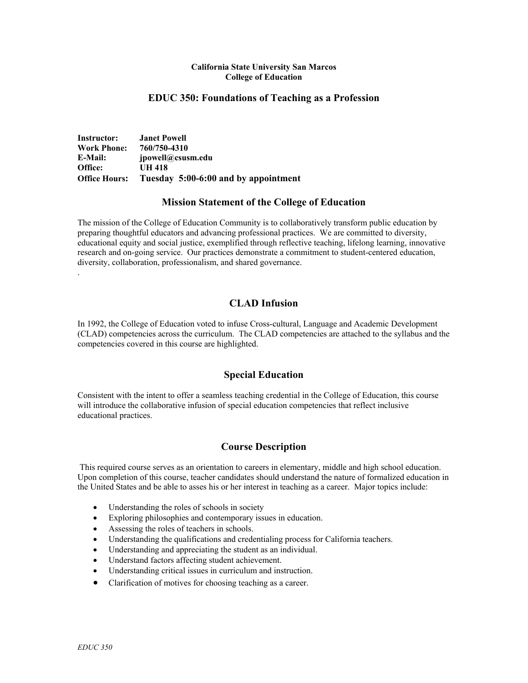#### **California State University San Marcos College of Education**

## **EDUC 350: Foundations of Teaching as a Profession**

**Instructor: Janet Powell Work Phone: 760/750-4310 E-Mail: jpowell@csusm.edu Office: UH 418 Office Hours: Tuesday 5:00-6:00 and by appointment**

### **Mission Statement of the College of Education**

The mission of the College of Education Community is to collaboratively transform public education by preparing thoughtful educators and advancing professional practices. We are committed to diversity, educational equity and social justice, exemplified through reflective teaching, lifelong learning, innovative research and on-going service. Our practices demonstrate a commitment to student-centered education, diversity, collaboration, professionalism, and shared governance.

# **CLAD Infusion**

In 1992, the College of Education voted to infuse Cross-cultural, Language and Academic Development (CLAD) competencies across the curriculum. The CLAD competencies are attached to the syllabus and the competencies covered in this course are highlighted.

## **Special Education**

Consistent with the intent to offer a seamless teaching credential in the College of Education, this course will introduce the collaborative infusion of special education competencies that reflect inclusive educational practices.

## **Course Description**

This required course serves as an orientation to careers in elementary, middle and high school education. Upon completion of this course, teacher candidates should understand the nature of formalized education in the United States and be able to asses his or her interest in teaching as a career. Major topics include:

- Understanding the roles of schools in society
- Exploring philosophies and contemporary issues in education.
- Assessing the roles of teachers in schools.
- Understanding the qualifications and credentialing process for California teachers.
- Understanding and appreciating the student as an individual.
- Understand factors affecting student achievement.
- Understanding critical issues in curriculum and instruction.
- Clarification of motives for choosing teaching as a career.

.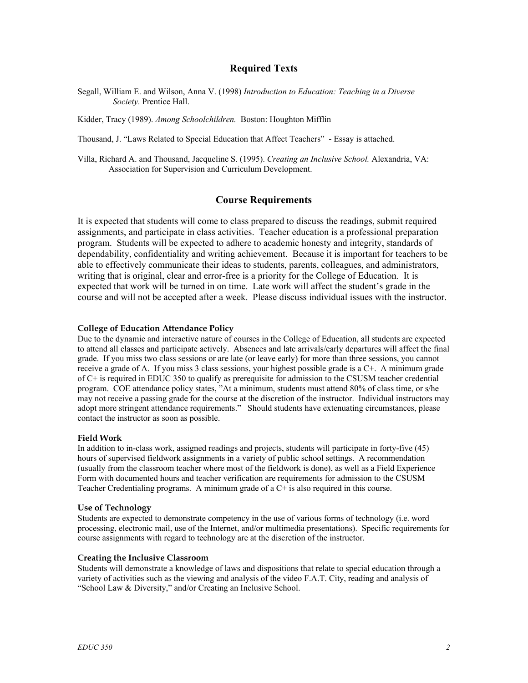### **Required Texts**

Segall, William E. and Wilson, Anna V. (1998) *Introduction to Education: Teaching in a Diverse Society*. Prentice Hall.

Kidder, Tracy (1989). *Among Schoolchildren.* Boston: Houghton Mifflin

Thousand, J. "Laws Related to Special Education that Affect Teachers" - Essay is attached.

Villa, Richard A. and Thousand, Jacqueline S. (1995). *Creating an Inclusive School.* Alexandria, VA: Association for Supervision and Curriculum Development.

## **Course Requirements**

It is expected that students will come to class prepared to discuss the readings, submit required assignments, and participate in class activities. Teacher education is a professional preparation program. Students will be expected to adhere to academic honesty and integrity, standards of dependability, confidentiality and writing achievement. Because it is important for teachers to be able to effectively communicate their ideas to students, parents, colleagues, and administrators, writing that is original, clear and error-free is a priority for the College of Education. It is expected that work will be turned in on time. Late work will affect the student's grade in the course and will not be accepted after a week. Please discuss individual issues with the instructor.

#### **College of Education Attendance Policy**

Due to the dynamic and interactive nature of courses in the College of Education, all students are expected to attend all classes and participate actively. Absences and late arrivals/early departures will affect the final grade. If you miss two class sessions or are late (or leave early) for more than three sessions, you cannot receive a grade of A. If you miss 3 class sessions, your highest possible grade is a C+. A minimum grade of C+ is required in EDUC 350 to qualify as prerequisite for admission to the CSUSM teacher credential program. COE attendance policy states, "At a minimum, students must attend 80% of class time, or s/he may not receive a passing grade for the course at the discretion of the instructor. Individual instructors may adopt more stringent attendance requirements." Should students have extenuating circumstances, please contact the instructor as soon as possible.

#### **Field Work**

In addition to in-class work, assigned readings and projects, students will participate in forty-five (45) hours of supervised fieldwork assignments in a variety of public school settings. A recommendation (usually from the classroom teacher where most of the fieldwork is done), as well as a Field Experience Form with documented hours and teacher verification are requirements for admission to the CSUSM Teacher Credentialing programs. A minimum grade of a C+ is also required in this course.

#### **Use of Technology**

Students are expected to demonstrate competency in the use of various forms of technology (i.e. word processing, electronic mail, use of the Internet, and/or multimedia presentations). Specific requirements for course assignments with regard to technology are at the discretion of the instructor.

#### **Creating the Inclusive Classroom**

Students will demonstrate a knowledge of laws and dispositions that relate to special education through a variety of activities such as the viewing and analysis of the video F.A.T. City, reading and analysis of "School Law & Diversity," and/or Creating an Inclusive School.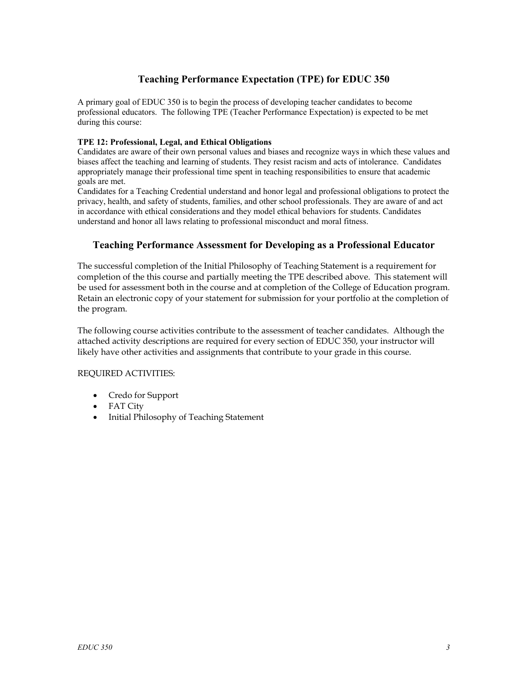# **Teaching Performance Expectation (TPE) for EDUC 350**

A primary goal of EDUC 350 is to begin the process of developing teacher candidates to become professional educators. The following TPE (Teacher Performance Expectation) is expected to be met during this course:

## **TPE 12: Professional, Legal, and Ethical Obligations**

Candidates are aware of their own personal values and biases and recognize ways in which these values and biases affect the teaching and learning of students. They resist racism and acts of intolerance. Candidates appropriately manage their professional time spent in teaching responsibilities to ensure that academic goals are met.

Candidates for a Teaching Credential understand and honor legal and professional obligations to protect the privacy, health, and safety of students, families, and other school professionals. They are aware of and act in accordance with ethical considerations and they model ethical behaviors for students. Candidates understand and honor all laws relating to professional misconduct and moral fitness.

# **Teaching Performance Assessment for Developing as a Professional Educator**

The successful completion of the Initial Philosophy of Teaching Statement is a requirement for completion of the this course and partially meeting the TPE described above. This statement will be used for assessment both in the course and at completion of the College of Education program. Retain an electronic copy of your statement for submission for your portfolio at the completion of the program.

The following course activities contribute to the assessment of teacher candidates. Although the attached activity descriptions are required for every section of EDUC 350, your instructor will likely have other activities and assignments that contribute to your grade in this course.

### REQUIRED ACTIVITIES:

- Credo for Support
- FAT City
- Initial Philosophy of Teaching Statement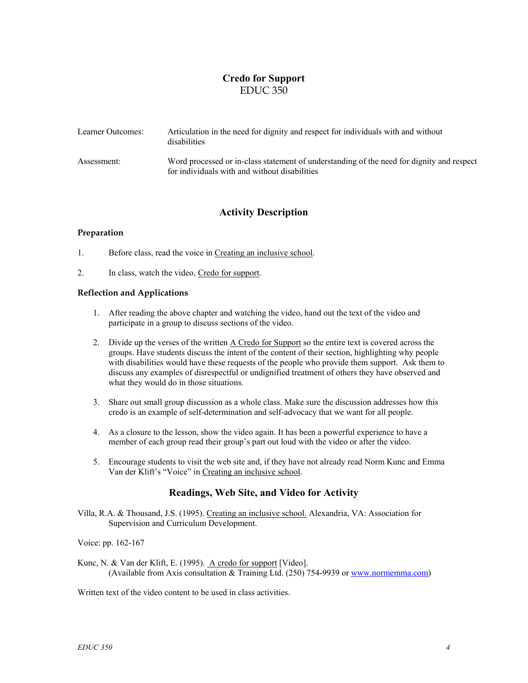# **Credo for Support**  EDUC 350

| Learner Outcomes: | Articulation in the need for dignity and respect for individuals with and without<br>disabilities                                          |
|-------------------|--------------------------------------------------------------------------------------------------------------------------------------------|
| Assessment:       | Word processed or in-class statement of understanding of the need for dignity and respect<br>for individuals with and without disabilities |

# **Activity Description**

### **Preparation**

1. Before class, read the voice in Creating an inclusive school.

2. In class, watch the video, Credo for support.

### **Reflection and Applications**

- 1. After reading the above chapter and watching the video, hand out the text of the video and participate in a group to discuss sections of the video.
- 2. Divide up the verses of the written A Credo for Support so the entire text is covered across the groups. Have students discuss the intent of the content of their section, highlighting why people with disabilities would have these requests of the people who provide them support. Ask them to discuss any examples of disrespectful or undignified treatment of others they have observed and what they would do in those situations.
- 3. Share out small group discussion as a whole class. Make sure the discussion addresses how this credo is an example of self-determination and self-advocacy that we want for all people.
- 4. As a closure to the lesson, show the video again. It has been a powerful experience to have a member of each group read their group's part out loud with the video or after the video.
- 5. Encourage students to visit the web site and, if they have not already read Norm Kunc and Emma Van der Klift's "Voice" in Creating an inclusive school.

## **Readings, Web Site, and Video for Activity**

Villa, R.A. & Thousand, J.S. (1995). Creating an inclusive school. Alexandria, VA: Association for Supervision and Curriculum Development.

Voice: pp. 162-167

Kunc, N. & Van der Klift, E. (1995). <u>A credo for support</u> [Video]. (Available from Axis consultation & Training Ltd. (250) 754-9939 or [www.normemma.com\)](http://www.normanemma.com/)

Written text of the video content to be used in class activities.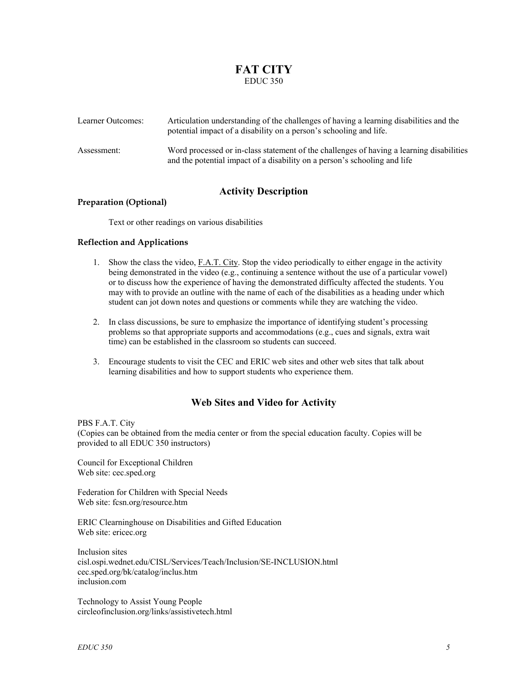# **FAT CITY**  EDUC 350

| Learner Outcomes: | Articulation understanding of the challenges of having a learning disabilities and the<br>potential impact of a disability on a person's schooling and life.          |
|-------------------|-----------------------------------------------------------------------------------------------------------------------------------------------------------------------|
| Assessment:       | Word processed or in-class statement of the challenges of having a learning disabilities<br>and the potential impact of a disability on a person's schooling and life |

# **Activity Description**

### **Preparation (Optional)**

Text or other readings on various disabilities

### **Reflection and Applications**

- 1. Show the class the video, F.A.T. City. Stop the video periodically to either engage in the activity being demonstrated in the video (e.g., continuing a sentence without the use of a particular vowel) or to discuss how the experience of having the demonstrated difficulty affected the students. You may with to provide an outline with the name of each of the disabilities as a heading under which student can jot down notes and questions or comments while they are watching the video.
- 2. In class discussions, be sure to emphasize the importance of identifying student's processing problems so that appropriate supports and accommodations (e.g., cues and signals, extra wait time) can be established in the classroom so students can succeed.
- 3. Encourage students to visit the CEC and ERIC web sites and other web sites that talk about learning disabilities and how to support students who experience them.

# **Web Sites and Video for Activity**

#### PBS F.A.T. City

(Copies can be obtained from the media center or from the special education faculty. Copies will be provided to all EDUC 350 instructors)

Council for Exceptional Children Web site: cec.sped.org

Federation for Children with Special Needs Web site: fcsn.org/resource.htm

ERIC Clearninghouse on Disabilities and Gifted Education Web site: ericec.org

Inclusion sites cisl.ospi.wednet.edu/CISL/Services/Teach/Inclusion/SE-INCLUSION.html cec.sped.org/bk/catalog/inclus.htm inclusion.com

Technology to Assist Young People circleofinclusion.org/links/assistivetech.html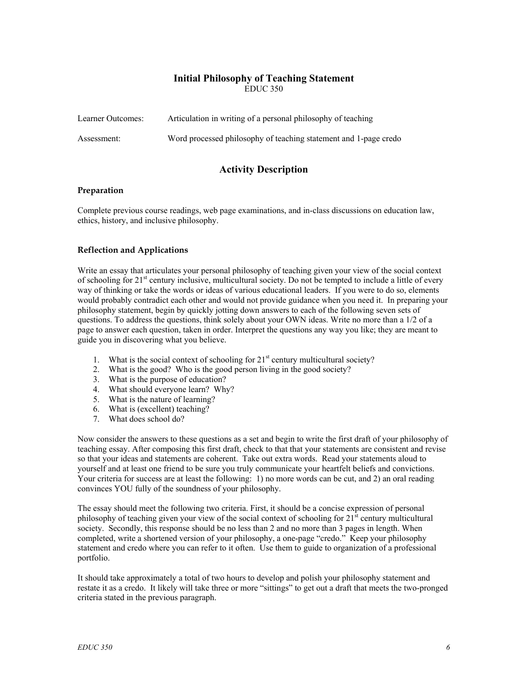### **Initial Philosophy of Teaching Statement**  EDUC 350

| Learner Outcomes: | Articulation in writing of a personal philosophy of teaching     |
|-------------------|------------------------------------------------------------------|
| Assessment:       | Word processed philosophy of teaching statement and 1-page credo |

# **Activity Description**

### **Preparation**

Complete previous course readings, web page examinations, and in-class discussions on education law, ethics, history, and inclusive philosophy.

### **Reflection and Applications**

Write an essay that articulates your personal philosophy of teaching given your view of the social context of schooling for 21<sup>st</sup> century inclusive, multicultural society. Do not be tempted to include a little of every way of thinking or take the words or ideas of various educational leaders. If you were to do so, elements would probably contradict each other and would not provide guidance when you need it. In preparing your philosophy statement, begin by quickly jotting down answers to each of the following seven sets of questions. To address the questions, think solely about your OWN ideas. Write no more than a 1/2 of a page to answer each question, taken in order. Interpret the questions any way you like; they are meant to guide you in discovering what you believe.

- 1. What is the social context of schooling for  $21<sup>st</sup>$  century multicultural society?
- 2. What is the good? Who is the good person living in the good society?
- 3. What is the purpose of education?
- 4. What should everyone learn? Why?
- 5. What is the nature of learning?
- 6. What is (excellent) teaching?
- 7. What does school do?

Now consider the answers to these questions as a set and begin to write the first draft of your philosophy of teaching essay. After composing this first draft, check to that that your statements are consistent and revise so that your ideas and statements are coherent. Take out extra words. Read your statements aloud to yourself and at least one friend to be sure you truly communicate your heartfelt beliefs and convictions. Your criteria for success are at least the following: 1) no more words can be cut, and 2) an oral reading convinces YOU fully of the soundness of your philosophy.

The essay should meet the following two criteria. First, it should be a concise expression of personal philosophy of teaching given your view of the social context of schooling for  $21<sup>st</sup>$  century multicultural society. Secondly, this response should be no less than 2 and no more than 3 pages in length. When completed, write a shortened version of your philosophy, a one-page "credo." Keep your philosophy statement and credo where you can refer to it often. Use them to guide to organization of a professional portfolio.

It should take approximately a total of two hours to develop and polish your philosophy statement and restate it as a credo. It likely will take three or more "sittings" to get out a draft that meets the two-pronged criteria stated in the previous paragraph.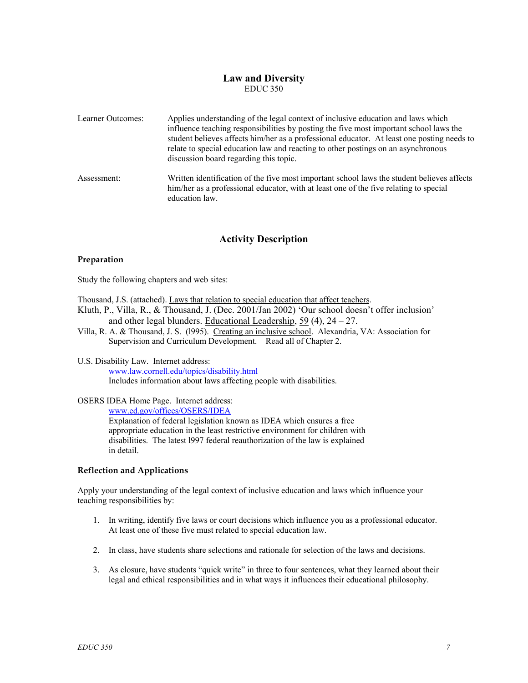## **Law and Diversity**  EDUC 350

| Learner Outcomes: | Applies understanding of the legal context of inclusive education and laws which<br>influence teaching responsibilities by posting the five most important school laws the<br>student believes affects him/her as a professional educator. At least one posting needs to<br>relate to special education law and reacting to other postings on an asynchronous<br>discussion board regarding this topic. |
|-------------------|---------------------------------------------------------------------------------------------------------------------------------------------------------------------------------------------------------------------------------------------------------------------------------------------------------------------------------------------------------------------------------------------------------|
| Assessment:       | Written identification of the five most important school laws the student believes affects<br>him/her as a professional educator, with at least one of the five relating to special<br>education law.                                                                                                                                                                                                   |

# **Activity Description**

### **Preparation**

Study the following chapters and web sites:

Thousand, J.S. (attached). Laws that relation to special education that affect teachers.

- Kluth, P., Villa, R., & Thousand, J. (Dec. 2001/Jan 2002) 'Our school doesn't offer inclusion' and other legal blunders. Educational Leadership, 59 (4), 24 – 27.
- Villa, R. A. & Thousand, J. S. (l995). Creating an inclusive school. Alexandria, VA: Association for Supervision and Curriculum Development. Read all of Chapter 2.

#### U.S. Disability Law. Internet address: www.law.cornell.edu/topics/disability.html Includes information about laws affecting people with disabilities.

### OSERS IDEA Home Page. Internet address:

www.ed.gov/offices/OSERS/IDEA

Explanation of federal legislation known as IDEA which ensures a free appropriate education in the least restrictive environment for children with disabilities. The latest l997 federal reauthorization of the law is explained in detail.

### **Reflection and Applications**

Apply your understanding of the legal context of inclusive education and laws which influence your teaching responsibilities by:

- 1. In writing, identify five laws or court decisions which influence you as a professional educator. At least one of these five must related to special education law.
- 2. In class, have students share selections and rationale for selection of the laws and decisions.
- 3. As closure, have students "quick write" in three to four sentences, what they learned about their legal and ethical responsibilities and in what ways it influences their educational philosophy.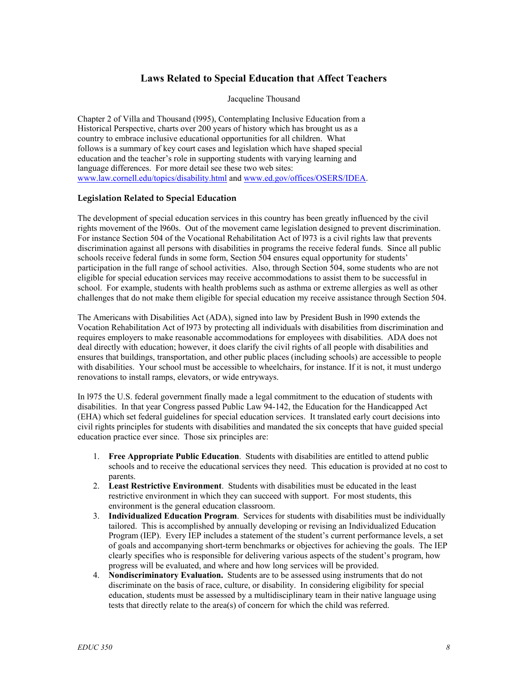# **Laws Related to Special Education that Affect Teachers**

Jacqueline Thousand

Chapter 2 of Villa and Thousand (l995), Contemplating Inclusive Education from a Historical Perspective, charts over 200 years of history which has brought us as a country to embrace inclusive educational opportunities for all children. What follows is a summary of key court cases and legislation which have shaped special education and the teacher's role in supporting students with varying learning and language differences. For more detail see these two web sites: www.law.cornell.edu/topics/disability.html and www.ed.gov/offices/OSERS/IDEA.

### **Legislation Related to Special Education**

The development of special education services in this country has been greatly influenced by the civil rights movement of the l960s. Out of the movement came legislation designed to prevent discrimination. For instance Section 504 of the Vocational Rehabilitation Act of l973 is a civil rights law that prevents discrimination against all persons with disabilities in programs the receive federal funds. Since all public schools receive federal funds in some form, Section 504 ensures equal opportunity for students' participation in the full range of school activities. Also, through Section 504, some students who are not eligible for special education services may receive accommodations to assist them to be successful in school. For example, students with health problems such as asthma or extreme allergies as well as other challenges that do not make them eligible for special education my receive assistance through Section 504.

The Americans with Disabilities Act (ADA), signed into law by President Bush in l990 extends the Vocation Rehabilitation Act of l973 by protecting all individuals with disabilities from discrimination and requires employers to make reasonable accommodations for employees with disabilities. ADA does not deal directly with education; however, it does clarify the civil rights of all people with disabilities and ensures that buildings, transportation, and other public places (including schools) are accessible to people with disabilities. Your school must be accessible to wheelchairs, for instance. If it is not, it must undergo renovations to install ramps, elevators, or wide entryways.

In l975 the U.S. federal government finally made a legal commitment to the education of students with disabilities. In that year Congress passed Public Law 94-142, the Education for the Handicapped Act (EHA) which set federal guidelines for special education services. It translated early court decisions into civil rights principles for students with disabilities and mandated the six concepts that have guided special education practice ever since. Those six principles are:

- 1. **Free Appropriate Public Education**. Students with disabilities are entitled to attend public schools and to receive the educational services they need. This education is provided at no cost to parents.
- 2. **Least Restrictive Environment**. Students with disabilities must be educated in the least restrictive environment in which they can succeed with support. For most students, this environment is the general education classroom.
- 3. **Individualized Education Program**. Services for students with disabilities must be individually tailored. This is accomplished by annually developing or revising an Individualized Education Program (IEP). Every IEP includes a statement of the student's current performance levels, a set of goals and accompanying short-term benchmarks or objectives for achieving the goals. The IEP clearly specifies who is responsible for delivering various aspects of the student's program, how progress will be evaluated, and where and how long services will be provided.
- 4. **Nondiscriminatory Evaluation.** Students are to be assessed using instruments that do not discriminate on the basis of race, culture, or disability. In considering eligibility for special education, students must be assessed by a multidisciplinary team in their native language using tests that directly relate to the area(s) of concern for which the child was referred.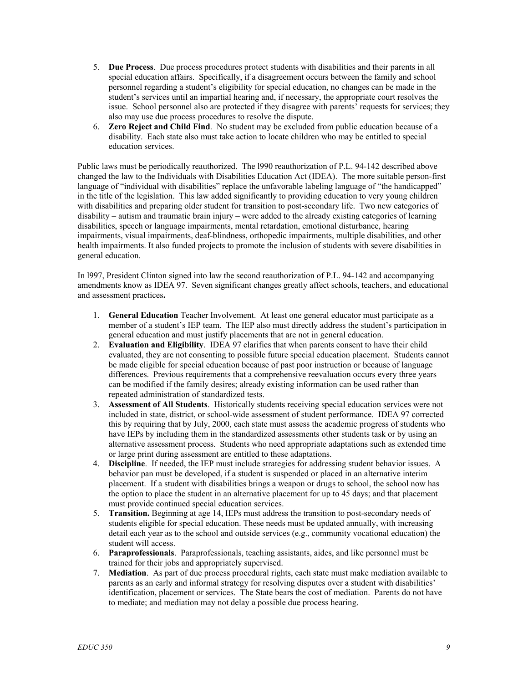- 5. **Due Process**. Due process procedures protect students with disabilities and their parents in all special education affairs. Specifically, if a disagreement occurs between the family and school personnel regarding a student's eligibility for special education, no changes can be made in the student's services until an impartial hearing and, if necessary, the appropriate court resolves the issue. School personnel also are protected if they disagree with parents' requests for services; they also may use due process procedures to resolve the dispute.
- 6. **Zero Reject and Child Find**. No student may be excluded from public education because of a disability. Each state also must take action to locate children who may be entitled to special education services.

Public laws must be periodically reauthorized. The l990 reauthorization of P.L. 94-142 described above changed the law to the Individuals with Disabilities Education Act (IDEA). The more suitable person-first language of "individual with disabilities" replace the unfavorable labeling language of "the handicapped" in the title of the legislation. This law added significantly to providing education to very young children with disabilities and preparing older student for transition to post-secondary life. Two new categories of disability – autism and traumatic brain injury – were added to the already existing categories of learning disabilities, speech or language impairments, mental retardation, emotional disturbance, hearing impairments, visual impairments, deaf-blindness, orthopedic impairments, multiple disabilities, and other health impairments. It also funded projects to promote the inclusion of students with severe disabilities in general education.

In l997, President Clinton signed into law the second reauthorization of P.L. 94-142 and accompanying amendments know as IDEA 97. Seven significant changes greatly affect schools, teachers, and educational and assessment practices**.** 

- 1. **General Education** Teacher Involvement. At least one general educator must participate as a member of a student's IEP team. The IEP also must directly address the student's participation in general education and must justify placements that are not in general education.
- 2. **Evaluation and Eligibility**. IDEA 97 clarifies that when parents consent to have their child evaluated, they are not consenting to possible future special education placement. Students cannot be made eligible for special education because of past poor instruction or because of language differences. Previous requirements that a comprehensive reevaluation occurs every three years can be modified if the family desires; already existing information can be used rather than repeated administration of standardized tests.
- 3. **Assessment of All Students**. Historically students receiving special education services were not included in state, district, or school-wide assessment of student performance. IDEA 97 corrected this by requiring that by July, 2000, each state must assess the academic progress of students who have IEPs by including them in the standardized assessments other students task or by using an alternative assessment process. Students who need appropriate adaptations such as extended time or large print during assessment are entitled to these adaptations.
- 4. **Discipline**. If needed, the IEP must include strategies for addressing student behavior issues. A behavior pan must be developed, if a student is suspended or placed in an alternative interim placement. If a student with disabilities brings a weapon or drugs to school, the school now has the option to place the student in an alternative placement for up to 45 days; and that placement must provide continued special education services.
- 5. **Transition.** Beginning at age 14, IEPs must address the transition to post-secondary needs of students eligible for special education. These needs must be updated annually, with increasing detail each year as to the school and outside services (e.g., community vocational education) the student will access.
- 6. **Paraprofessionals**. Paraprofessionals, teaching assistants, aides, and like personnel must be trained for their jobs and appropriately supervised.
- 7. **Mediation**. As part of due process procedural rights, each state must make mediation available to parents as an early and informal strategy for resolving disputes over a student with disabilities' identification, placement or services. The State bears the cost of mediation. Parents do not have to mediate; and mediation may not delay a possible due process hearing.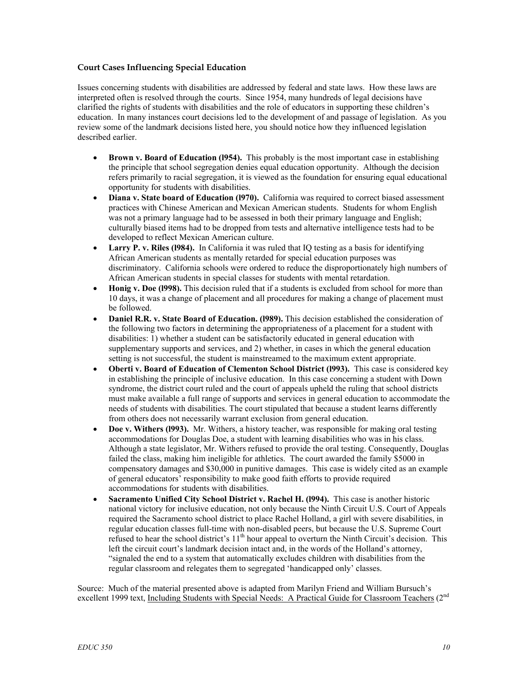### **Court Cases Influencing Special Education**

Issues concerning students with disabilities are addressed by federal and state laws. How these laws are interpreted often is resolved through the courts. Since 1954, many hundreds of legal decisions have clarified the rights of students with disabilities and the role of educators in supporting these children's education. In many instances court decisions led to the development of and passage of legislation. As you review some of the landmark decisions listed here, you should notice how they influenced legislation described earlier.

- **Brown v. Board of Education (1954).** This probably is the most important case in establishing the principle that school segregation denies equal education opportunity. Although the decision refers primarily to racial segregation, it is viewed as the foundation for ensuring equal educational opportunity for students with disabilities.
- **Diana v. State board of Education (1970).** California was required to correct biased assessment practices with Chinese American and Mexican American students. Students for whom English was not a primary language had to be assessed in both their primary language and English; culturally biased items had to be dropped from tests and alternative intelligence tests had to be developed to reflect Mexican American culture.
- **Larry P. v. Riles (1984).** In California it was ruled that IO testing as a basis for identifying African American students as mentally retarded for special education purposes was discriminatory. California schools were ordered to reduce the disproportionately high numbers of African American students in special classes for students with mental retardation.
- **Honig v. Doe (1998).** This decision ruled that if a students is excluded from school for more than 10 days, it was a change of placement and all procedures for making a change of placement must be followed.
- **Daniel R.R. v. State Board of Education. (l989).** This decision established the consideration of the following two factors in determining the appropriateness of a placement for a student with disabilities: 1) whether a student can be satisfactorily educated in general education with supplementary supports and services, and 2) whether, in cases in which the general education setting is not successful, the student is mainstreamed to the maximum extent appropriate.
- **Oberti v. Board of Education of Clementon School District (l993).** This case is considered key in establishing the principle of inclusive education. In this case concerning a student with Down syndrome, the district court ruled and the court of appeals upheld the ruling that school districts must make available a full range of supports and services in general education to accommodate the needs of students with disabilities. The court stipulated that because a student learns differently from others does not necessarily warrant exclusion from general education.
- **Doe v. Withers (l993).** Mr. Withers, a history teacher, was responsible for making oral testing accommodations for Douglas Doe, a student with learning disabilities who was in his class. Although a state legislator, Mr. Withers refused to provide the oral testing. Consequently, Douglas failed the class, making him ineligible for athletics. The court awarded the family \$5000 in compensatory damages and \$30,000 in punitive damages. This case is widely cited as an example of general educators' responsibility to make good faith efforts to provide required accommodations for students with disabilities.
- **Sacramento Unified City School District v. Rachel H. (l994).** This case is another historic national victory for inclusive education, not only because the Ninth Circuit U.S. Court of Appeals required the Sacramento school district to place Rachel Holland, a girl with severe disabilities, in regular education classes full-time with non-disabled peers, but because the U.S. Supreme Court refused to hear the school district's 11<sup>th</sup> hour appeal to overturn the Ninth Circuit's decision. This left the circuit court's landmark decision intact and, in the words of the Holland's attorney, "signaled the end to a system that automatically excludes children with disabilities from the regular classroom and relegates them to segregated 'handicapped only' classes.

Source: Much of the material presented above is adapted from Marilyn Friend and William Bursuch's excellent 1999 text, Including Students with Special Needs: A Practical Guide for Classroom Teachers (2<sup>nd</sup>